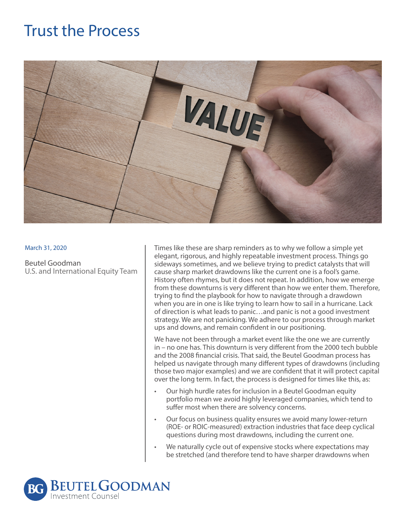## Trust the Process



## March 31, 2020

Beutel Goodman U.S. and International Equity Team Times like these are sharp reminders as to why we follow a simple yet elegant, rigorous, and highly repeatable investment process. Things go sideways sometimes, and we believe trying to predict catalysts that will cause sharp market drawdowns like the current one is a fool's game. History often rhymes, but it does not repeat. In addition, how we emerge from these downturns is very different than how we enter them. Therefore, trying to find the playbook for how to navigate through a drawdown when you are in one is like trying to learn how to sail in a hurricane. Lack of direction is what leads to panic…and panic is not a good investment strategy. We are not panicking. We adhere to our process through market ups and downs, and remain confident in our positioning.

We have not been through a market event like the one we are currently in – no one has. This downturn is very different from the 2000 tech bubble and the 2008 financial crisis. That said, the Beutel Goodman process has helped us navigate through many different types of drawdowns (including those two major examples) and we are confident that it will protect capital over the long term. In fact, the process is designed for times like this, as:

- Our high hurdle rates for inclusion in a Beutel Goodman equity portfolio mean we avoid highly leveraged companies, which tend to suffer most when there are solvency concerns.
- Our focus on business quality ensures we avoid many lower-return (ROE- or ROIC-measured) extraction industries that face deep cyclical questions during most drawdowns, including the current one.
- We naturally cycle out of expensive stocks where expectations may be stretched (and therefore tend to have sharper drawdowns when